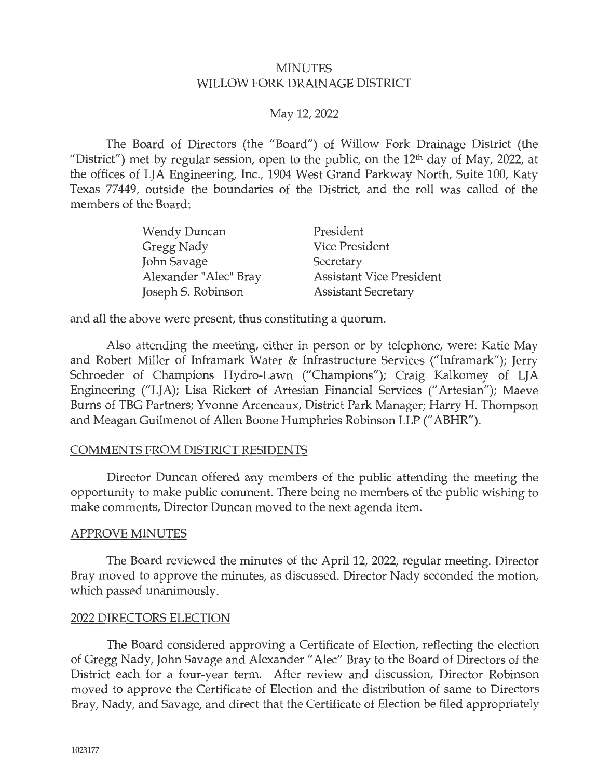### **MINUTES** WILLOW FORK DRAINAGE DISTRICT

# May 12, 2022

The Board of Directors (the "Board") of Willow Fork Drainage District (the "District") met by regular session, open to the public, on the  $12<sup>th</sup>$  day of May, 2022, at the offices of LJA Engineering, Inc., 1904 West Grand Parkway North, Suite 100, Katy Texas 77449, outside the boundaries of the District, and the roll was called of the members of the Board:

| Wendy Duncan          | President                       |
|-----------------------|---------------------------------|
| Gregg Nady            | Vice President                  |
| John Savage           | Secretary                       |
| Alexander "Alec" Bray | <b>Assistant Vice President</b> |
| Joseph S. Robinson    | <b>Assistant Secretary</b>      |

and all the above were present, thus constituting a quorum.

Also attending the meeting, either in person or by telephone, were: Katie May and Robert Miller of Inframark Water & Infrastructure Services ("Inframark"); Jerry Schroeder of Champions Hydro-Lawn ("Champions"); Craig Kalkomey of LJA Engineering ("LJA); Lisa Rickert of Artesian Financial Services (" Artesian"); Maeve Burns of TBG Partners; Yvonne Arceneaux, District Park Manager; Harry H. Thompson and Meagan Guilmenot of Allen Boone Humphries Robinson LLP (" ABHR").

# COMMENTS FROM DISTRICT RESIDENTS

Director Duncan offered any members of the public attending the meeting the opportunity to make public comment. There being no members of the public wishing to make comments, Director Duncan moved to the next agenda item.

### APPROVE MINUTES

The Board reviewed the minutes of the April 12, 2022, regular meeting. Director Bray moved to approve the minutes, as discussed. Director Nady seconded the motion, which passed unanimously.

### 2022 DIRECTORS ELECTION

The Board considered approving a Certificate of Election, reflecting the election of Gregg Nady, John Savage and Alexander" Alec" Bray to the Board of Directors of the District each for a four-year term. After review and discussion, Director Robinson moved to approve the Certificate of Election and the distribution of same to Directors Bray, Nady, and Savage, and direct that the Certificate of Election be filed appropriately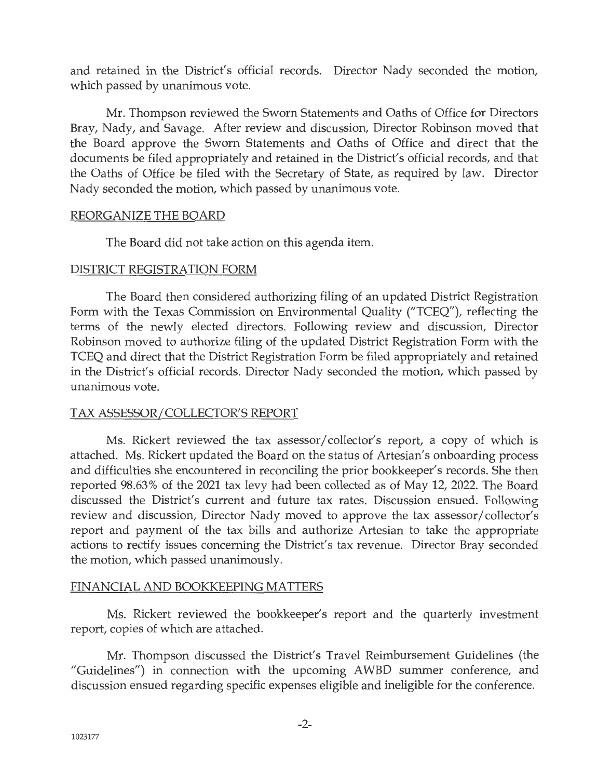and retained in the District's official records. Director Nady seconded the motion, which passed by unanimous vote.

Mr. Thompson reviewed the Sworn Statements and Oaths of Office for Directors Bray, Nady, and Savage. After review and discussion, Director Robinson moved that the Board approve the Sworn Statements and Oaths of Office and direct that the documents be filed appropriately and retained in the District's official records, and that the Oaths of Office be filed with the Secretary of State, as required by law. Director Nady seconded the motion, which passed by unanimous vote.

### REORGANIZE THE BOARD

The Board did not take action on this agenda item.

# DISTRICT REGISTRATION FORM

The Board then considered authorizing filing of an updated District Registration Form with the Texas Commission on Environmental Quality ("TCEQ"), reflecting the terms of the newly elected directors. Following review and discussion, Director Robinson moved to authorize filing of the updated District Registration Form with the TCEQ and direct that the District Registration Form be filed appropriately and retained in the District's official records. Director Nady seconded the motion, which passed by unanimous vote.

# TAX ASSESSOR/ COLLECTOR'S REPORT

Ms. Rickert reviewed the tax assessor/ collector's report, a copy of which is attached. Ms. Rickert updated the Board on the status of Artesian's onboarding process and difficulties she encountered in reconciling the prior bookkeeper's records. She then reported 98.63 % of the 2021 tax levy had been collected as of May 12, 2022. The Board discussed the District's current and future tax rates. Discussion ensued. Following review and discussion, Director Nady moved to approve the tax assessor/collector's report and payment of the tax bills and authorize Artesian to take the appropriate actions to rectify issues concerning the District's tax revenue. Director Bray seconded the motion, which passed unanimously.

# FINANCIAL AND BOOKKEEPING MATTERS

Ms. Rickert reviewed the bookkeeper's report and the quarterly investment report, copies of which are attached.

Mr. Thompson discussed the District's Travel Reimbursement Guidelines (the "Guidelines") in connection with the upcoming AWBD summer conference, and discussion ensued regarding specific expenses eligible and ineligible for the conference.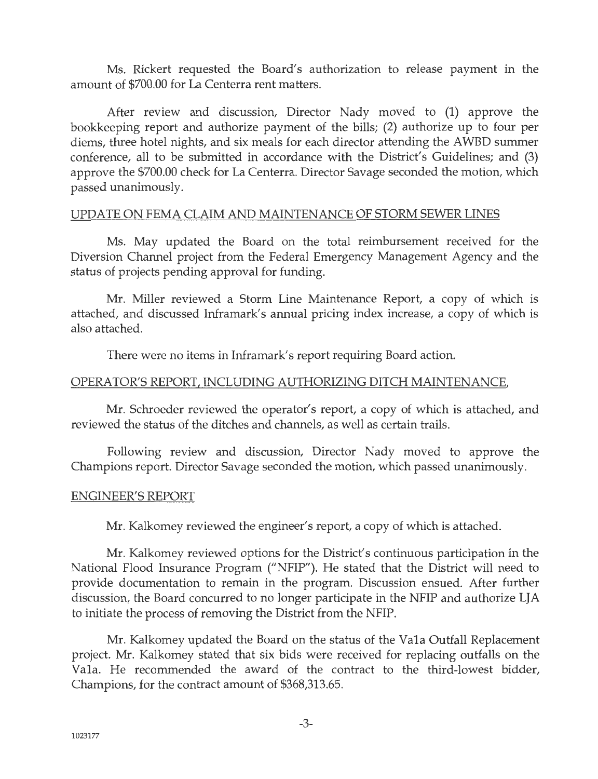Ms. Rickert requested the Board's authorization to release payment in the amount of \$700.00 for La Centerra rent matters.

After review and discussion, Director Nady moved to (1) approve the bookkeeping report and authorize payment of the bills; (2) authorize up to four per diems, three hotel nights, and six meals for each director attending the AWBD summer conference, all to be submitted in accordance with the District's Guidelines; and (3) approve the \$700.00 check for La Centerra. Director Savage seconded the motion, which passed unanimously.

### UPDATE ON FEMA CLAIM AND MAINTENANCE OF STORM SEWER LINES

Ms. May updated the Board on the total reimbursement received for the Diversion Channel project from the Federal Emergency Management Agency and the status of projects pending approval for funding.

Mr. Miller reviewed a Storm Line Maintenance Report, a copy of which is attached, and discussed Inframark's annual pricing index increase, a copy of which is also attached.

There were no items in Inframark's report requiring Board action.

#### OPERATOR'S REPORT, INCLUDING AUTHORIZING DITCH MAINTENANCE,

Mr. Schroeder reviewed the operator's report, a copy of which is attached, and reviewed the status of the ditches and channels, as well as certain trails.

Following review and discussion, Director Nady moved to approve the Champions report. Director Savage seconded the motion, which passed unanimously.

### ENGINEER'S REPORT

Mr. Kalkomey reviewed the engineer's report, a copy of which is attached.

Mr. Kalkomey reviewed options for the District's continuous participation in the National Flood Insurance Program ("NFIP"). He stated that the District will need to provide documentation to remain in the program. Discussion ensued. After further discussion, the Board concurred to no longer participate in the NFIP and authorize LJA to initiate the process of removing the District from the NFIP.

Mr. Kalkomey updated the Board on the status of the Vala Outfall Replacement project. Mr. Kalkomey stated that six bids were received for replacing outfalls on the Vala. He recommended the award of the contract to the third-lowest bidder, Champions, for the contract amount of \$368,313.65.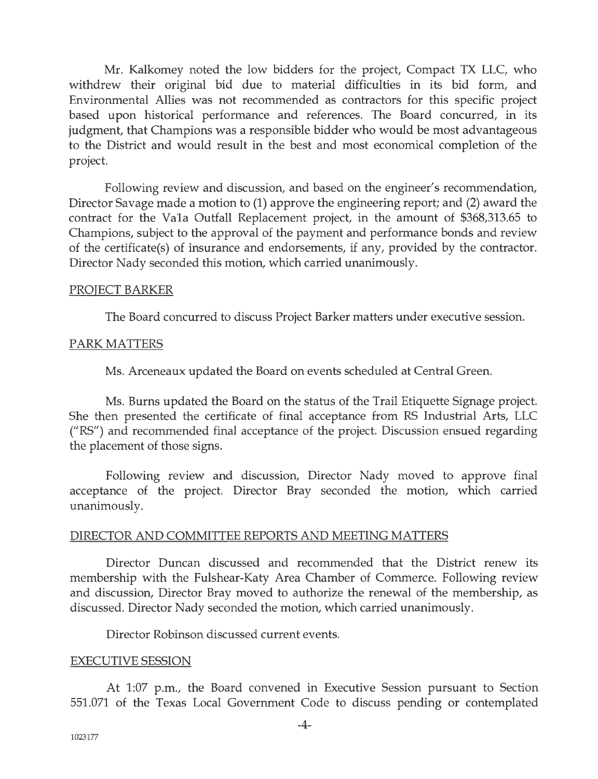Mr. Kalkomey noted the low bidders for the project, Compact TX LLC, who withdrew their original bid due to material difficulties in its bid form, and Environmental Allies was not recommended as contractors for this specific project based upon historical performance and references. The Board concurred, in its judgment, that Champions was a responsible bidder who would be most advantageous to the District and would result in the best and most economical completion of the project.

Following review and discussion, and based on the engineer's recommendation, Director Savage made a motion to (1) approve the engineering report; and (2) award the contract for the Vala Outfall Replacement project, in the amount of \$368,313.65 to Champions, subject to the approval of the payment and performance bonds and review of the certificate(s) of insurance and endorsements, if any, provided by the contractor. Director Nady seconded this motion, which carried unanimously.

#### PROJECT BARKER

The Board concurred to discuss Project Barker matters under executive session.

### PARK MATTERS

Ms. Arceneaux updated the Board on events scheduled at Central Green.

Ms. Burns updated the Board on the status of the Trail Etiquette Signage project. She then presented the certificate of final acceptance from RS Industrial Arts, LLC ("RS") and recommended final acceptance of the project. Discussion ensued regarding the placement of those signs.

Following review and discussion, Director Nady moved to approve final acceptance of the project. Director Bray seconded the motion, which carried unanimously.

### DIRECTOR AND COMMITTEE REPORTS AND MEETING MATTERS

Director Duncan discussed and recommended that the District renew its membership with the Fulshear-Katy Area Chamber of Commerce. Following review and discussion, Director Bray moved to authorize the renewal of the membership, as discussed. Director Nady seconded the motion, which carried unanimously.

Director Robinson discussed current events.

### EXECUTIVE SESSION

At 1:07 p.m., the Board convened in Executive Session pursuant to Section 551.071 of the Texas Local Government Code to discuss pending or contemplated